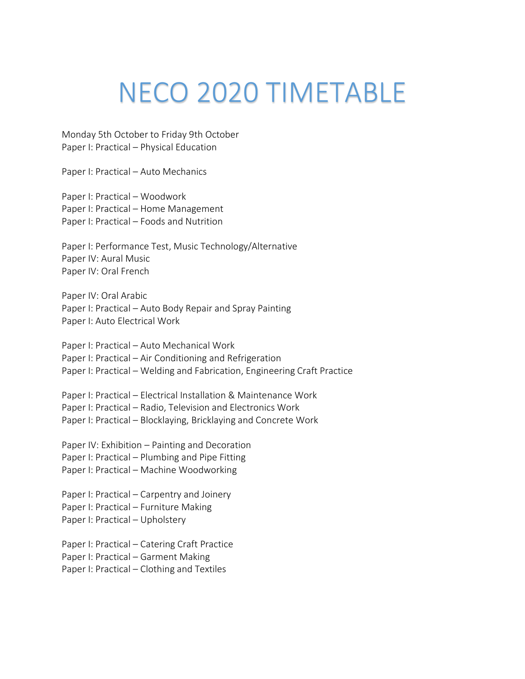## NECO 2020 TIMETABLE

Monday 5th October to Friday 9th October Paper I: Practical – Physical Education

Paper I: Practical – Auto Mechanics

Paper I: Practical – Woodwork Paper I: Practical – Home Management Paper I: Practical – Foods and Nutrition

Paper I: Performance Test, Music Technology/Alternative Paper IV: Aural Music Paper IV: Oral French

Paper IV: Oral Arabic Paper I: Practical – Auto Body Repair and Spray Painting Paper I: Auto Electrical Work

Paper I: Practical – Auto Mechanical Work Paper I: Practical – Air Conditioning and Refrigeration Paper I: Practical – Welding and Fabrication, Engineering Craft Practice

Paper I: Practical – Electrical Installation & Maintenance Work Paper I: Practical – Radio, Television and Electronics Work Paper I: Practical – Blocklaying, Bricklaying and Concrete Work

Paper IV: Exhibition – Painting and Decoration Paper I: Practical – Plumbing and Pipe Fitting Paper I: Practical – Machine Woodworking

Paper I: Practical – Carpentry and Joinery Paper I: Practical – Furniture Making Paper I: Practical – Upholstery

Paper I: Practical – Catering Craft Practice Paper I: Practical – Garment Making Paper I: Practical – Clothing and Textiles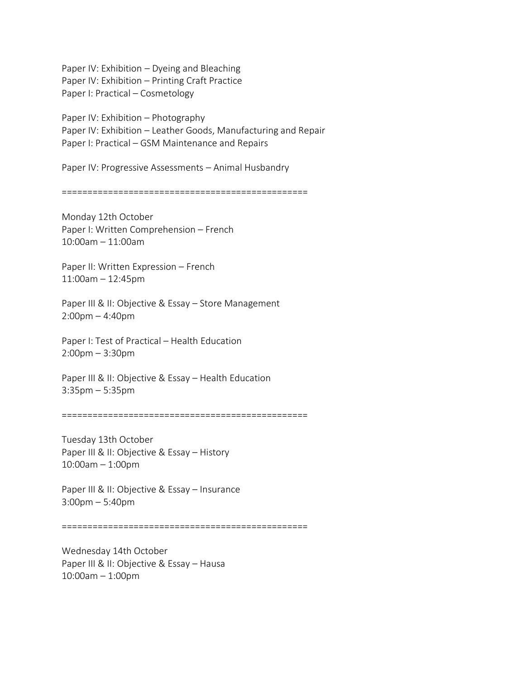Paper IV: Exhibition – Dyeing and Bleaching Paper IV: Exhibition – Printing Craft Practice Paper I: Practical – Cosmetology

Paper IV: Exhibition – Photography Paper IV: Exhibition – Leather Goods, Manufacturing and Repair Paper I: Practical – GSM Maintenance and Repairs

Paper IV: Progressive Assessments – Animal Husbandry

================================================

Monday 12th October Paper I: Written Comprehension – French 10:00am – 11:00am

Paper II: Written Expression – French 11:00am – 12:45pm

Paper III & II: Objective & Essay - Store Management 2:00pm – 4:40pm

Paper I: Test of Practical – Health Education 2:00pm – 3:30pm

Paper III & II: Objective & Essay – Health Education 3:35pm – 5:35pm

================================================

Tuesday 13th October Paper III & II: Objective & Essay – History 10:00am – 1:00pm

Paper III & II: Objective & Essay – Insurance 3:00pm – 5:40pm

================================================

Wednesday 14th October Paper III & II: Objective & Essay - Hausa 10:00am – 1:00pm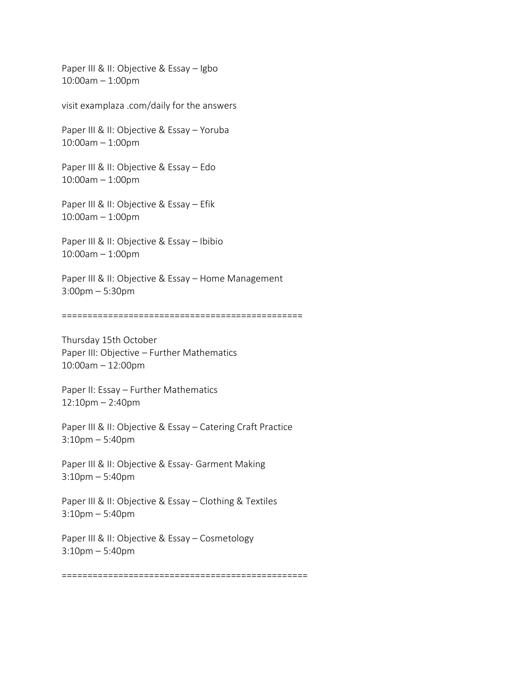Paper III & II: Objective & Essay - Igbo 10:00am – 1:00pm

visit examplaza .com/daily for the answers

Paper III & II: Objective & Essay - Yoruba 10:00am – 1:00pm

Paper III & II: Objective & Essay – Edo 10:00am – 1:00pm

Paper III & II: Objective & Essay – Efik 10:00am – 1:00pm

Paper III & II: Objective & Essay – Ibibio 10:00am – 1:00pm

Paper III & II: Objective & Essay - Home Management 3:00pm – 5:30pm

===============================================

Thursday 15th October Paper III: Objective – Further Mathematics 10:00am – 12:00pm

Paper II: Essay – Further Mathematics 12:10pm – 2:40pm

Paper III & II: Objective & Essay – Catering Craft Practice 3:10pm – 5:40pm

Paper III & II: Objective & Essay- Garment Making 3:10pm – 5:40pm

Paper III & II: Objective & Essay - Clothing & Textiles 3:10pm – 5:40pm

Paper III & II: Objective & Essay - Cosmetology 3:10pm – 5:40pm

================================================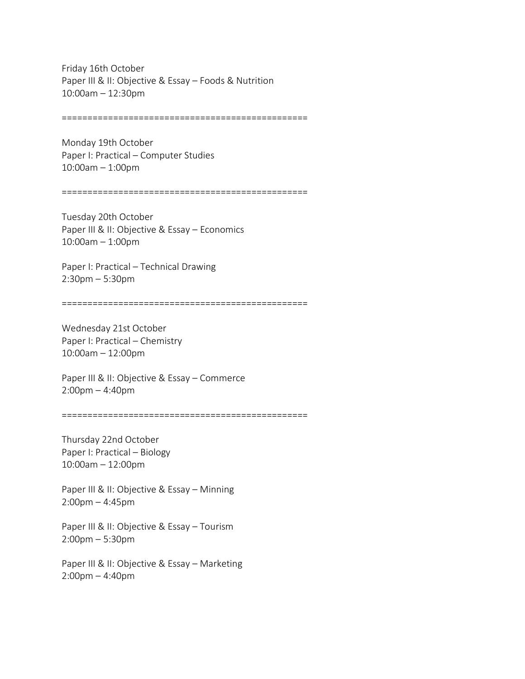Friday 16th October Paper III & II: Objective & Essay - Foods & Nutrition 10:00am – 12:30pm

================================================

Monday 19th October Paper I: Practical – Computer Studies 10:00am – 1:00pm

================================================

Tuesday 20th October Paper III & II: Objective & Essay – Economics 10:00am – 1:00pm

Paper I: Practical – Technical Drawing 2:30pm – 5:30pm

================================================

Wednesday 21st October Paper I: Practical – Chemistry 10:00am – 12:00pm

Paper III & II: Objective & Essay – Commerce 2:00pm – 4:40pm

================================================

Thursday 22nd October Paper I: Practical – Biology 10:00am – 12:00pm

Paper III & II: Objective & Essay – Minning 2:00pm – 4:45pm

Paper III & II: Objective & Essay - Tourism 2:00pm – 5:30pm

Paper III & II: Objective & Essay – Marketing 2:00pm – 4:40pm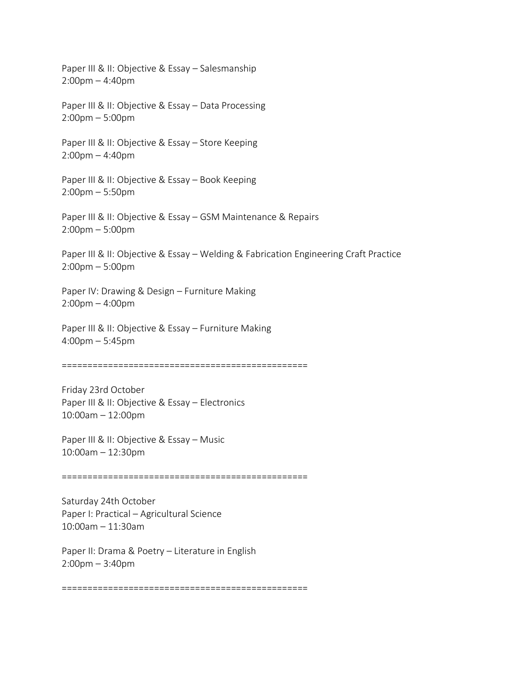Paper III & II: Objective & Essay – Salesmanship 2:00pm – 4:40pm Paper III & II: Objective & Essay – Data Processing 2:00pm – 5:00pm Paper III & II: Objective & Essay - Store Keeping 2:00pm – 4:40pm Paper III & II: Objective & Essay – Book Keeping 2:00pm – 5:50pm Paper III & II: Objective & Essay – GSM Maintenance & Repairs 2:00pm – 5:00pm Paper III & II: Objective & Essay - Welding & Fabrication Engineering Craft Practice 2:00pm – 5:00pm Paper IV: Drawing & Design – Furniture Making 2:00pm – 4:00pm Paper III & II: Objective & Essay – Furniture Making 4:00pm – 5:45pm ================================================ Friday 23rd October Paper III & II: Objective & Essay – Electronics 10:00am – 12:00pm Paper III & II: Objective & Essay – Music 10:00am – 12:30pm ================================================ Saturday 24th October Paper I: Practical – Agricultural Science 10:00am – 11:30am Paper II: Drama & Poetry – Literature in English

2:00pm – 3:40pm

================================================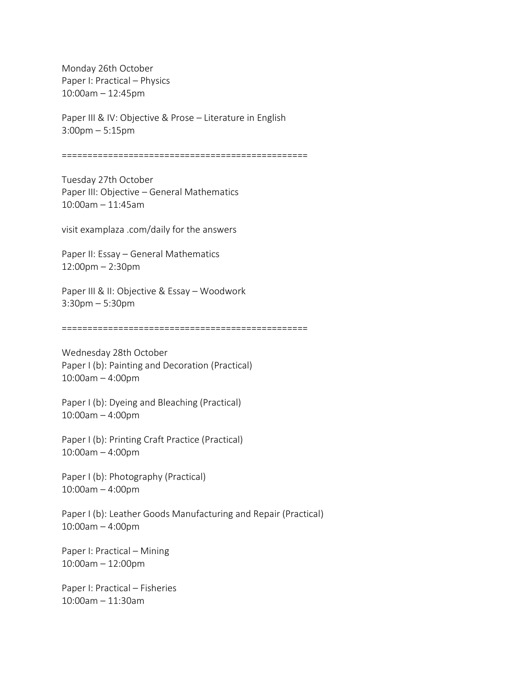Monday 26th October Paper I: Practical – Physics 10:00am – 12:45pm

Paper III & IV: Objective & Prose – Literature in English 3:00pm – 5:15pm

================================================

Tuesday 27th October Paper III: Objective – General Mathematics 10:00am – 11:45am

visit examplaza .com/daily for the answers

Paper II: Essay – General Mathematics 12:00pm – 2:30pm

Paper III & II: Objective & Essay – Woodwork 3:30pm – 5:30pm

================================================

Wednesday 28th October Paper I (b): Painting and Decoration (Practical) 10:00am – 4:00pm

Paper I (b): Dyeing and Bleaching (Practical) 10:00am – 4:00pm

Paper I (b): Printing Craft Practice (Practical) 10:00am – 4:00pm

Paper I (b): Photography (Practical) 10:00am – 4:00pm

Paper I (b): Leather Goods Manufacturing and Repair (Practical) 10:00am – 4:00pm

Paper I: Practical – Mining 10:00am – 12:00pm

Paper I: Practical – Fisheries 10:00am – 11:30am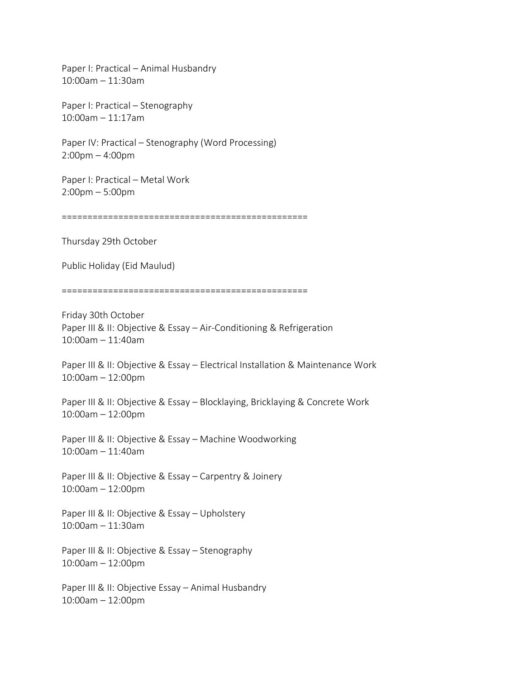Paper I: Practical – Animal Husbandry 10:00am – 11:30am

Paper I: Practical – Stenography 10:00am – 11:17am

Paper IV: Practical – Stenography (Word Processing) 2:00pm – 4:00pm

Paper I: Practical – Metal Work 2:00pm – 5:00pm

================================================

Thursday 29th October

Public Holiday (Eid Maulud)

================================================

Friday 30th October Paper III & II: Objective & Essay – Air-Conditioning & Refrigeration 10:00am – 11:40am

Paper III & II: Objective & Essay - Electrical Installation & Maintenance Work 10:00am – 12:00pm

Paper III & II: Objective & Essay – Blocklaying, Bricklaying & Concrete Work 10:00am – 12:00pm

Paper III & II: Objective & Essay – Machine Woodworking 10:00am – 11:40am

Paper III & II: Objective & Essay – Carpentry & Joinery 10:00am – 12:00pm

Paper III & II: Objective & Essay – Upholstery 10:00am – 11:30am

Paper III & II: Objective & Essay – Stenography 10:00am – 12:00pm

Paper III & II: Objective Essay – Animal Husbandry 10:00am – 12:00pm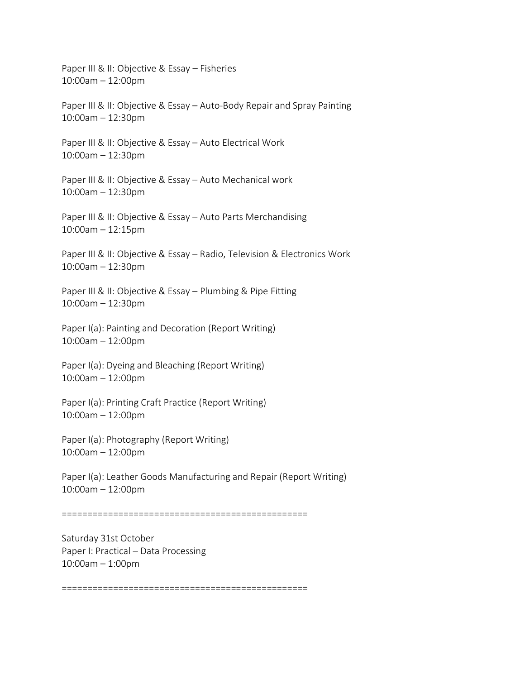Paper III & II: Objective & Essay – Fisheries 10:00am – 12:00pm Paper III & II: Objective & Essay – Auto-Body Repair and Spray Painting 10:00am – 12:30pm Paper III & II: Objective & Essay – Auto Electrical Work 10:00am – 12:30pm Paper III & II: Objective & Essay - Auto Mechanical work 10:00am – 12:30pm Paper III & II: Objective & Essay – Auto Parts Merchandising 10:00am – 12:15pm Paper III & II: Objective & Essay – Radio, Television & Electronics Work 10:00am – 12:30pm Paper III & II: Objective & Essay – Plumbing & Pipe Fitting 10:00am – 12:30pm Paper I(a): Painting and Decoration (Report Writing) 10:00am – 12:00pm Paper I(a): Dyeing and Bleaching (Report Writing) 10:00am – 12:00pm Paper I(a): Printing Craft Practice (Report Writing) 10:00am – 12:00pm Paper I(a): Photography (Report Writing) 10:00am – 12:00pm Paper I(a): Leather Goods Manufacturing and Repair (Report Writing) 10:00am – 12:00pm ================================================ Saturday 31st October Paper I: Practical – Data Processing 10:00am – 1:00pm

================================================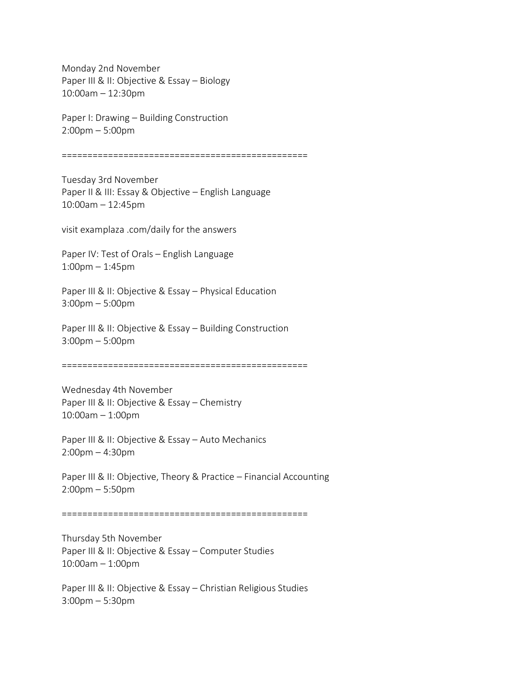Monday 2nd November Paper III & II: Objective & Essay – Biology 10:00am – 12:30pm

Paper I: Drawing – Building Construction 2:00pm – 5:00pm

================================================

Tuesday 3rd November Paper II & III: Essay & Objective – English Language 10:00am – 12:45pm

visit examplaza .com/daily for the answers

Paper IV: Test of Orals – English Language 1:00pm – 1:45pm

Paper III & II: Objective & Essay – Physical Education 3:00pm – 5:00pm

Paper III & II: Objective & Essay – Building Construction 3:00pm – 5:00pm

================================================

Wednesday 4th November Paper III & II: Objective & Essay – Chemistry 10:00am – 1:00pm

Paper III & II: Objective & Essay - Auto Mechanics 2:00pm – 4:30pm

Paper III & II: Objective, Theory & Practice – Financial Accounting 2:00pm – 5:50pm

================================================

Thursday 5th November Paper III & II: Objective & Essay – Computer Studies 10:00am – 1:00pm

Paper III & II: Objective & Essay – Christian Religious Studies 3:00pm – 5:30pm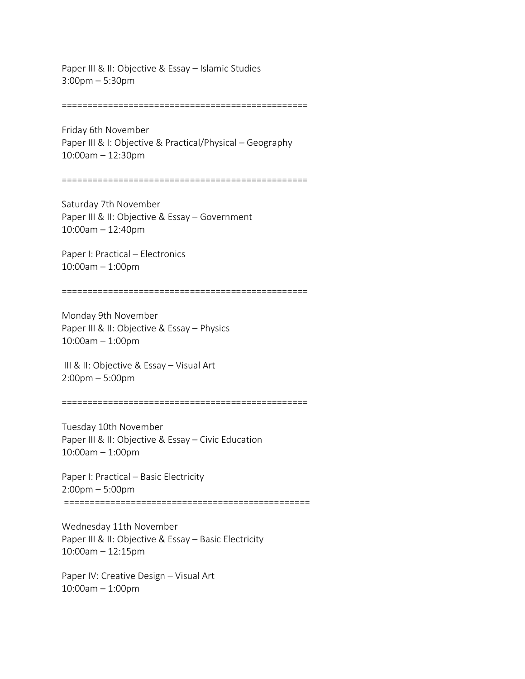Paper III & II: Objective & Essay – Islamic Studies 3:00pm – 5:30pm

================================================

Friday 6th November Paper III & I: Objective & Practical/Physical – Geography 10:00am – 12:30pm

================================================

Saturday 7th November Paper III & II: Objective & Essay - Government 10:00am – 12:40pm

Paper I: Practical – Electronics 10:00am – 1:00pm

================================================

Monday 9th November Paper III & II: Objective & Essay – Physics 10:00am – 1:00pm

III & II: Objective & Essay – Visual Art 2:00pm – 5:00pm

================================================

Tuesday 10th November Paper III & II: Objective & Essay – Civic Education 10:00am – 1:00pm

Paper I: Practical – Basic Electricity 2:00pm – 5:00pm ================================================

Wednesday 11th November Paper III & II: Objective & Essay - Basic Electricity 10:00am – 12:15pm

Paper IV: Creative Design – Visual Art 10:00am – 1:00pm